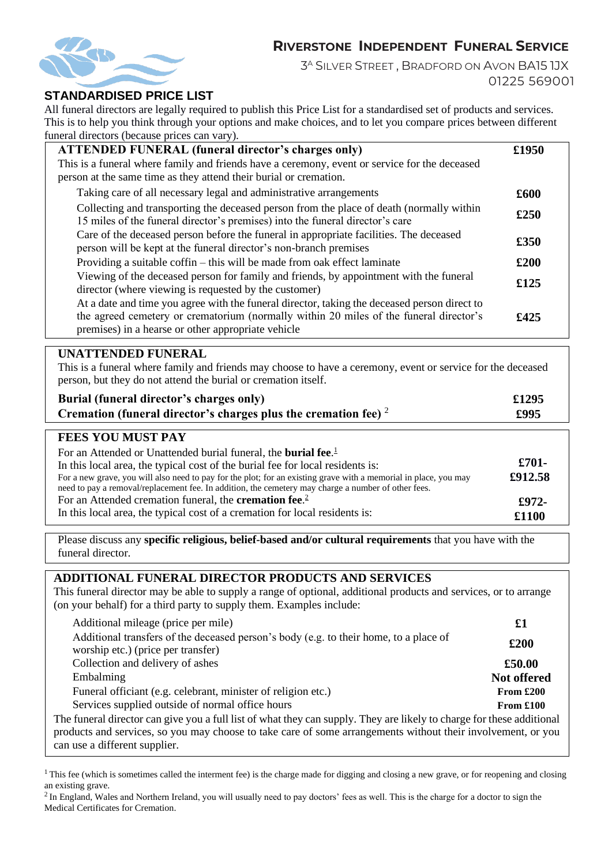# **RIVERSTONE INDEPENDENT FUNERAL SERVICE**



3 <sup>A</sup> SILVER STREET , BRADFORD ON AVON BA15 1JX 01225 569001

### **STANDARDISED PRICE LIST**

All funeral directors are legally required to publish this Price List for a standardised set of products and services. This is to help you think through your options and make choices, and to let you compare prices between different funeral directors (because prices can vary).

| <b>ATTENDED FUNERAL (funeral director's charges only)</b>                                                                                                                                                                                    | £1950 |
|----------------------------------------------------------------------------------------------------------------------------------------------------------------------------------------------------------------------------------------------|-------|
| This is a funeral where family and friends have a ceremony, event or service for the deceased                                                                                                                                                |       |
| person at the same time as they attend their burial or cremation.                                                                                                                                                                            |       |
| Taking care of all necessary legal and administrative arrangements                                                                                                                                                                           | £600  |
| Collecting and transporting the deceased person from the place of death (normally within<br>15 miles of the funeral director's premises) into the funeral director's care                                                                    | £250  |
| Care of the deceased person before the funeral in appropriate facilities. The deceased<br>person will be kept at the funeral director's non-branch premises                                                                                  | £350  |
| Providing a suitable coffin – this will be made from oak effect laminate                                                                                                                                                                     | £200  |
| Viewing of the deceased person for family and friends, by appointment with the funeral<br>director (where viewing is requested by the customer)                                                                                              | £125  |
| At a date and time you agree with the funeral director, taking the deceased person direct to<br>the agreed cemetery or crematorium (normally within 20 miles of the funeral director's<br>premises) in a hearse or other appropriate vehicle | £425  |

#### **UNATTENDED FUNERAL**

This is a funeral where family and friends may choose to have a ceremony, event or service for the deceased person, but they do not attend the burial or cremation itself.

| Burial (funeral director's charges only)                             | £1295 |
|----------------------------------------------------------------------|-------|
| Cremation (funeral director's charges plus the cremation fee) $2\pi$ | £995  |

### **FEES YOU MUST PAY**

| For an Attended or Unattended burial funeral, the <b>burial fee.</b> <sup>1</sup><br>In this local area, the typical cost of the burial fee for local residents is:<br>For a new grave, you will also need to pay for the plot; for an existing grave with a memorial in place, you may<br>need to pay a removal/replacement fee. In addition, the cemetery may charge a number of other fees. | $£701-$<br>£912.58 |
|------------------------------------------------------------------------------------------------------------------------------------------------------------------------------------------------------------------------------------------------------------------------------------------------------------------------------------------------------------------------------------------------|--------------------|
| For an Attended cremation funeral, the <b>cremation fee.</b> $\frac{2}{3}$                                                                                                                                                                                                                                                                                                                     | £972-              |
| In this local area, the typical cost of a cremation for local residents is:                                                                                                                                                                                                                                                                                                                    | £1100              |

Please discuss any **specific religious, belief-based and/or cultural requirements** that you have with the funeral director.

#### **ADDITIONAL FUNERAL DIRECTOR PRODUCTS AND SERVICES**

This funeral director may be able to supply a range of optional, additional products and services, or to arrange (on your behalf) for a third party to supply them. Examples include:

| Additional mileage (price per mile)                                                                                                                                                                                                                                    | $\pmb{\pmb{\pmb{\pmb{\cdot}}}$ |
|------------------------------------------------------------------------------------------------------------------------------------------------------------------------------------------------------------------------------------------------------------------------|--------------------------------|
| Additional transfers of the deceased person's body (e.g. to their home, to a place of<br>worship etc.) (price per transfer)                                                                                                                                            | £200                           |
| Collection and delivery of ashes                                                                                                                                                                                                                                       | £50.00                         |
| Embalming                                                                                                                                                                                                                                                              | Not offered                    |
| Funeral officiant (e.g. celebrant, minister of religion etc.)                                                                                                                                                                                                          | From $£200$                    |
| Services supplied outside of normal office hours                                                                                                                                                                                                                       | From $£100$                    |
| The funeral director can give you a full list of what they can supply. They are likely to charge for these additional<br>products and services, so you may choose to take care of some arrangements without their involvement, or you<br>can use a different supplier. |                                |

<sup>1</sup> This fee (which is sometimes called the interment fee) is the charge made for digging and closing a new grave, or for reopening and closing an existing grave.

<sup>2</sup> In England, Wales and Northern Ireland, you will usually need to pay doctors' fees as well. This is the charge for a doctor to sign the Medical Certificates for Cremation.